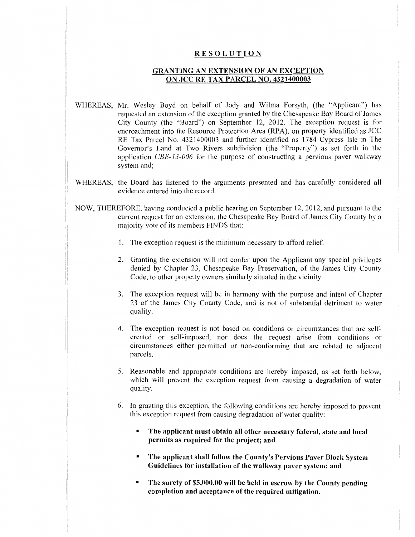## **RESOLUTION**

## **GRANTING AN EXTENSION OF AN EXCEPTION ON JCC RE TAX PARCEL NO. 4321400003**

- WHEREAS, Mr. Wesley Boyd on behalf of Jody and Wilma Forsyth, (the "Applicant") has requested an extension of the exception granted by the Chesapeake Bay Board of James City County (the "Board") on September 12, 2012. The exception reques<sup>t</sup> is for encroachment into the Resource Protection Area (RPA), on property identified as JCC RE Tax Parcel No. 4321400003 and further identified as 1784 Cypress Isle in The Governor's Land at Two Rivers subdivision (the "Property") as set forth in the application *CBE-13-006* for the purpose of constructing <sup>a</sup> pervious paver walkway system and;
- WHEREAS, the Board has listened to the arguments presented and has carefully considered all evidence entered into the record.
- NOW, THEREFORE, having conducted <sup>a</sup> public hearing on September 12, 2012, and pursuan<sup>t</sup> to the current reques<sup>t</sup> for an extension, the Chesapeake Bay Board of James City County by <sup>a</sup> majority vote of its members FINDS that:
	- 1. The exception reques<sup>t</sup> is the minimum necessary to afford relief.
	- Granting the extension will not confer upon the Applicant any special privileges 2. denied by Chapter 23, Chesapeake Bay Preservation, of the James City County Code, to other property owners similarly situated in the vicinity.
	- 3. The exception request will be in harmony with the purpose and intent of Chapter 23 of the James City County Code, and is not of substantial detriment to water quality.
	- The exception reques<sup>t</sup> is not based on conditions or circumstances that are self-4. created or self-imposed, nor does the reques<sup>t</sup> arise from conditions or circumstances either permitted or non-conforming that are related to adjacent parcels.
	- 5. Reasonable and appropriate conditions are hereby imposed, as set forth below, which will preven<sup>t</sup> the exception reques<sup>t</sup> from causing <sup>a</sup> degradation of water quality.
	- In granting this exception, the following conditions are hereby imposed to preven<sup>t</sup> 6. this exception reques<sup>t</sup> from causing degradation of water quality:
		- $\blacksquare$ **The applicant must obtain all other necessary federal, state and local permits as required for the project; and**
		- **\* The applicant shall follow the County's Pervious Paver Block** System **Guidelines for installation of the walkway paver system; and**
		- **The surety of \$5,000.00 will be held in escrow by the County pending completion and acceptance of the required mitigation.**